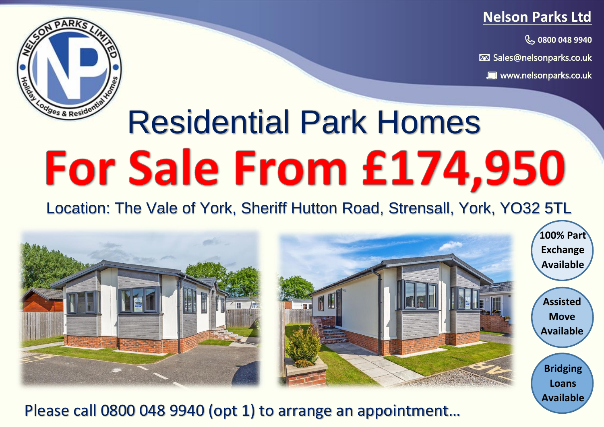### **Nelson Parks Ltd**

**0800 048 9940 0800 048 9940**

**Sales@nelsonparks.co.uk** 

 **www.nelsonparks.co.uk WWW.nelsonparks.co.uk** 

# dges & Resident

# Residential Park Homes For Sale From £174,950

Location: The Vale of York, Sheriff Hutton Road, Strensall, York, YO32 5TL



Please call 0800 048 9940 (opt 1) to arrange an appointment…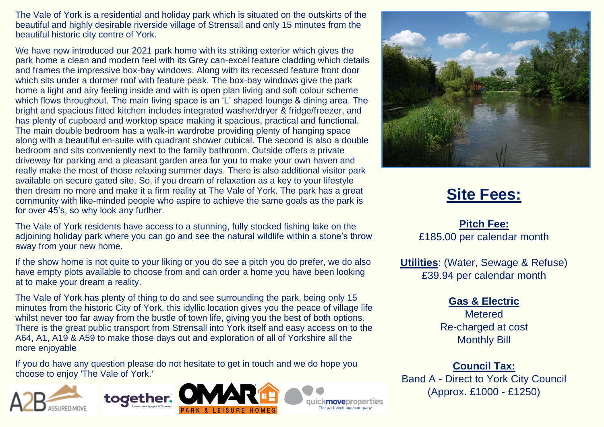The Vale of York is a residential and holiday park which is situated on the outskirts of the beautiful and highly desirable riverside village of Strensall and only 15 minutes from the beautiful historic city centre of York.

We have now introduced our 2021 park home with its striking exterior which gives the park home a clean and modern feel with its Grey can-excel feature cladding which details and frames the impressive box-bay windows. Along with its recessed feature front door which sits under a dormer roof with feature peak. The box-bay windows give the park home a light and airy feeling inside and with is open plan living and soft colour scheme which flows throughout. The main living space is an 'L' shaped lounge & dining area. The bright and spacious fitted kitchen includes integrated washer/dryer & fridge/freezer, and has plenty of cupboard and worktop space making it spacious, practical and functional. The main double bedroom has a walk-in wardrobe providing plenty of hanging space along with a beautiful en-suite with quadrant shower cubical. The second is also a double bedroom and sits conveniently next to the family bathroom. Outside offers a private driveway for parking and a pleasant garden area for you to make your own haven and really make the most of those relaxing summer days. There is also additional visitor park available on secure gated site. So, if you dream of relaxation as a key to your lifestyle then dream no more and make it a firm reality at The Vale of York. The park has a great community with like-minded people who aspire to achieve the same goals as the park is for over 45's, so why look any further.

The Vale of York residents have access to a stunning, fully stocked fishing lake on the adioining holiday park where you can go and see the natural wildlife within a stone's throw away from your new home.

If the show home is not quite to your liking or you do see a pitch you do prefer, we do also have empty plots available to choose from and can order a home you have been looking at to make your dream a reality.

The Vale of York has plenty of thing to do and see surrounding the park, being only 15 minutes from the historic City of York, this idyllic location gives you the peace of village life whilst never too far away from the bustle of town life, giving you the best of both options. There is the great public transport from Strensall into York itself and easy access on to the A64, A1, A19 & A59 to make those days out and exploration of all of Yorkshire all the more enjoyable

If you do have any question please do not hesitate to get in touch and we do hope you choose to enjoy 'The Vale of York.'





**movenrone** art exchange comp



## **Site Fees:**

**Pitch Fee:** £185.00 per calendar month

**Utilities**: (Water, Sewage & Refuse) £39.94 per calendar month

#### **Gas & Electric**

**Metered** Re-charged at cost Monthly Bill

**Council Tax:**

Band A - Direct to York City Council (Approx. £1000 - £1250)